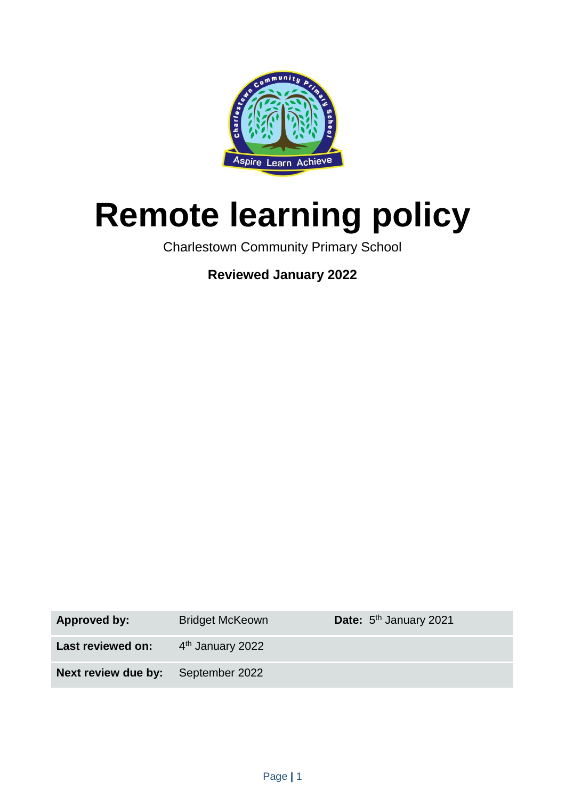

# **Remote learning policy**

Charlestown Community Primary School

**Reviewed January 2022**

| Approved by:                              | <b>Bridget McKeown</b>       | Date: 5 <sup>th</sup> January 2021 |
|-------------------------------------------|------------------------------|------------------------------------|
| Last reviewed on:                         | 4 <sup>th</sup> January 2022 |                                    |
| <b>Next review due by:</b> September 2022 |                              |                                    |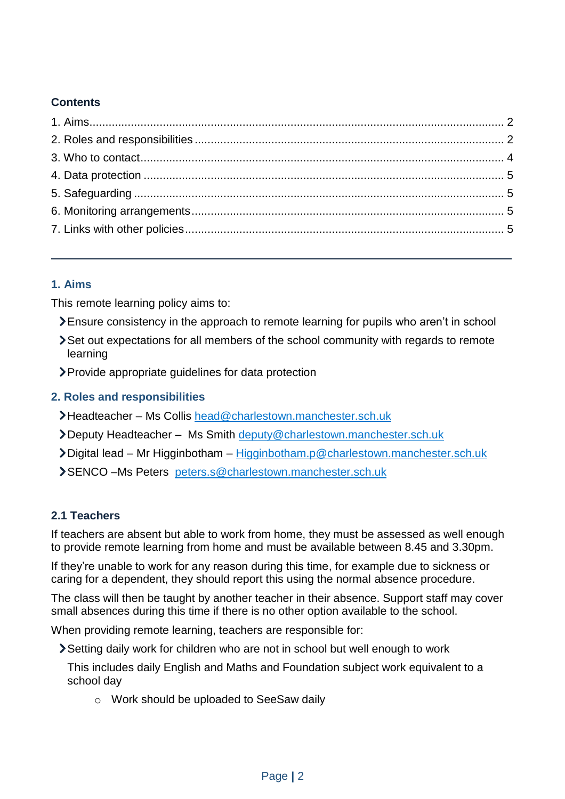# **Contents**

# <span id="page-1-0"></span>**1. Aims**

This remote learning policy aims to:

- Ensure consistency in the approach to remote learning for pupils who aren't in school
- Set out expectations for all members of the school community with regards to remote learning
- Provide appropriate guidelines for data protection

# <span id="page-1-1"></span>**2. Roles and responsibilities**

- Headteacher Ms Collis [head@charlestown.manchester.sch.uk](mailto:head@charlestown.manchester.sch.uk)
- Deputy Headteacher Ms Smith [deputy@charlestown.manchester.sch.uk](mailto:deputy@charlestown.manchester.sch.uk)
- Digital lead Mr Higginbotham [Higginbotham.p@charlestown.manchester.sch.uk](mailto:Higginbotham.p@charlestown.manchester.sch.uk)
- SENCO –Ms Peters [peters.s@charlestown.manchester.sch.uk](mailto:peters.s@charlestown.manchester.sch.uk)

# **2.1 Teachers**

If teachers are absent but able to work from home, they must be assessed as well enough to provide remote learning from home and must be available between 8.45 and 3.30pm.

If they're unable to work for any reason during this time, for example due to sickness or caring for a dependent, they should report this using the normal absence procedure.

The class will then be taught by another teacher in their absence. Support staff may cover small absences during this time if there is no other option available to the school.

When providing remote learning, teachers are responsible for:

Setting daily work for children who are not in school but well enough to work

This includes daily English and Maths and Foundation subject work equivalent to a school day

o Work should be uploaded to SeeSaw daily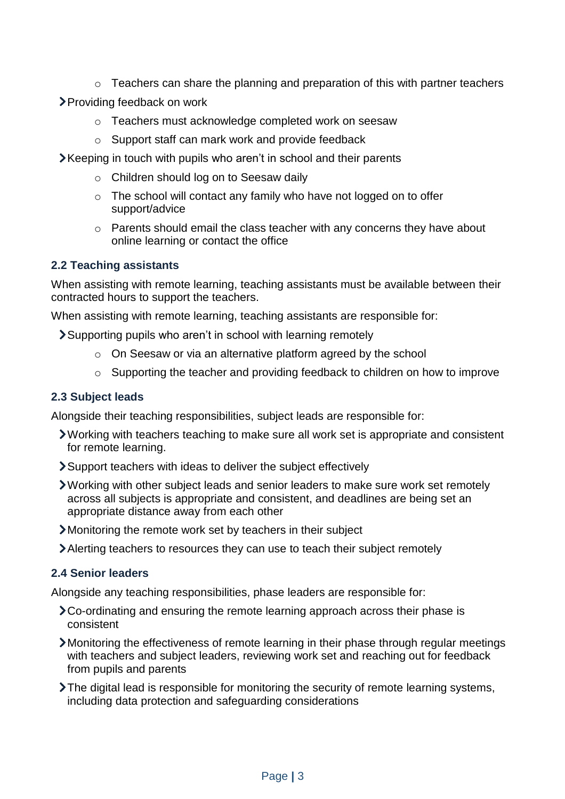- o Teachers can share the planning and preparation of this with partner teachers
- Providing feedback on work
	- o Teachers must acknowledge completed work on seesaw
	- o Support staff can mark work and provide feedback
- Xeeping in touch with pupils who aren't in school and their parents
	- o Children should log on to Seesaw daily
	- o The school will contact any family who have not logged on to offer support/advice
	- o Parents should email the class teacher with any concerns they have about online learning or contact the office

### **2.2 Teaching assistants**

When assisting with remote learning, teaching assistants must be available between their contracted hours to support the teachers.

When assisting with remote learning, teaching assistants are responsible for:

Supporting pupils who aren't in school with learning remotely

- o On Seesaw or via an alternative platform agreed by the school
- o Supporting the teacher and providing feedback to children on how to improve

#### **2.3 Subject leads**

Alongside their teaching responsibilities, subject leads are responsible for:

- Working with teachers teaching to make sure all work set is appropriate and consistent for remote learning.
- Support teachers with ideas to deliver the subject effectively
- Working with other subject leads and senior leaders to make sure work set remotely across all subjects is appropriate and consistent, and deadlines are being set an appropriate distance away from each other
- Monitoring the remote work set by teachers in their subject
- Alerting teachers to resources they can use to teach their subject remotely

### **2.4 Senior leaders**

Alongside any teaching responsibilities, phase leaders are responsible for:

- Co-ordinating and ensuring the remote learning approach across their phase is consistent
- Monitoring the effectiveness of remote learning in their phase through regular meetings with teachers and subject leaders, reviewing work set and reaching out for feedback from pupils and parents
- The digital lead is responsible for monitoring the security of remote learning systems, including data protection and safeguarding considerations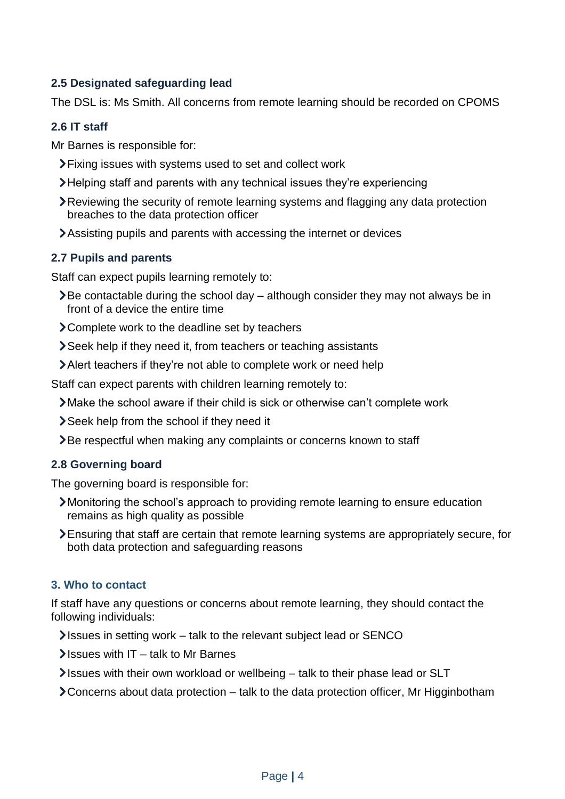# **2.5 Designated safeguarding lead**

The DSL is: Ms Smith. All concerns from remote learning should be recorded on CPOMS

# **2.6 IT staff**

Mr Barnes is responsible for:

- Fixing issues with systems used to set and collect work
- Helping staff and parents with any technical issues they're experiencing
- Reviewing the security of remote learning systems and flagging any data protection breaches to the data protection officer
- Assisting pupils and parents with accessing the internet or devices

# **2.7 Pupils and parents**

Staff can expect pupils learning remotely to:

- $\sum$  Be contactable during the school day although consider they may not always be in front of a device the entire time
- > Complete work to the deadline set by teachers
- Seek help if they need it, from teachers or teaching assistants
- Alert teachers if they're not able to complete work or need help

Staff can expect parents with children learning remotely to:

- Make the school aware if their child is sick or otherwise can't complete work
- Seek help from the school if they need it
- **Example 7** Be respectful when making any complaints or concerns known to staff

# **2.8 Governing board**

The governing board is responsible for:

- Monitoring the school's approach to providing remote learning to ensure education remains as high quality as possible
- Ensuring that staff are certain that remote learning systems are appropriately secure, for both data protection and safeguarding reasons

# <span id="page-3-0"></span>**3. Who to contact**

If staff have any questions or concerns about remote learning, they should contact the following individuals:

- Issues in setting work talk to the relevant subject lead or SENCO
- $\blacktriangleright$  Issues with IT talk to Mr Barnes
- Issues with their own workload or wellbeing talk to their phase lead or SLT
- Concerns about data protection talk to the data protection officer, Mr Higginbotham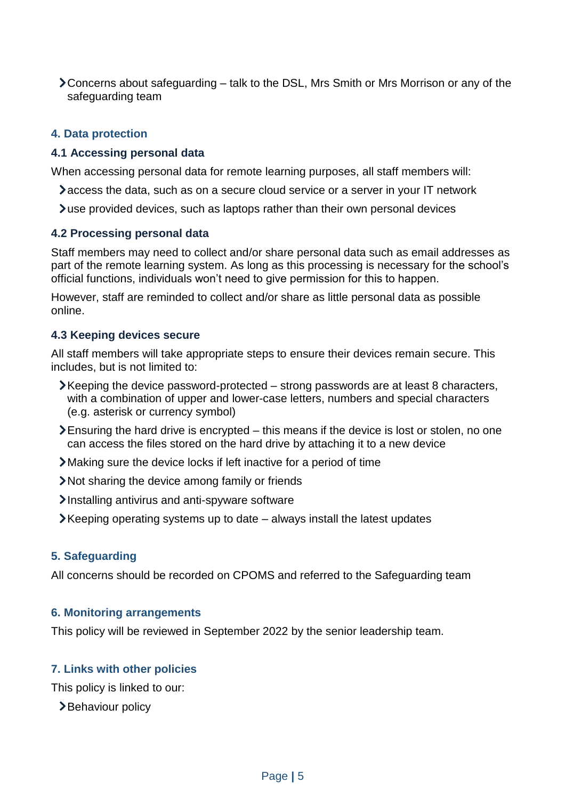Concerns about safeguarding – talk to the DSL, Mrs Smith or Mrs Morrison or any of the safeguarding team

#### <span id="page-4-0"></span>**4. Data protection**

#### **4.1 Accessing personal data**

When accessing personal data for remote learning purposes, all staff members will:

access the data, such as on a secure cloud service or a server in your IT network

use provided devices, such as laptops rather than their own personal devices

#### **4.2 Processing personal data**

Staff members may need to collect and/or share personal data such as email addresses as part of the remote learning system. As long as this processing is necessary for the school's official functions, individuals won't need to give permission for this to happen.

However, staff are reminded to collect and/or share as little personal data as possible online.

#### **4.3 Keeping devices secure**

All staff members will take appropriate steps to ensure their devices remain secure. This includes, but is not limited to:

- Keeping the device password-protected strong passwords are at least 8 characters, with a combination of upper and lower-case letters, numbers and special characters (e.g. asterisk or currency symbol)
- Ensuring the hard drive is encrypted this means if the device is lost or stolen, no one can access the files stored on the hard drive by attaching it to a new device
- Making sure the device locks if left inactive for a period of time
- Not sharing the device among family or friends
- Installing antivirus and anti-spyware software
- $\blacktriangleright$  Keeping operating systems up to date  $-$  always install the latest updates

#### <span id="page-4-1"></span>**5. Safeguarding**

All concerns should be recorded on CPOMS and referred to the Safeguarding team

#### <span id="page-4-2"></span>**6. Monitoring arrangements**

This policy will be reviewed in September 2022 by the senior leadership team.

#### <span id="page-4-3"></span>**7. Links with other policies**

This policy is linked to our:

>Behaviour policy